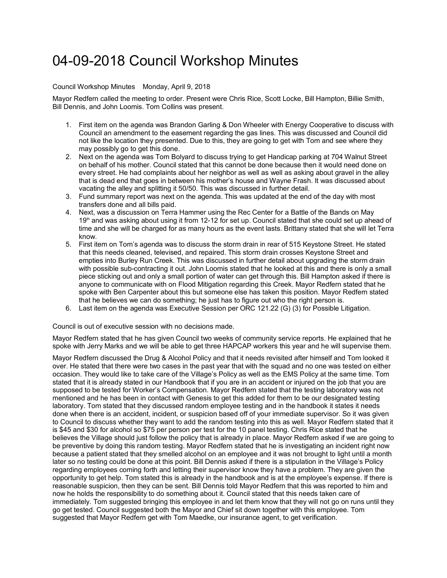## 04-09-2018 Council Workshop Minutes

## Council Workshop Minutes Monday, April 9, 2018

Mayor Redfern called the meeting to order. Present were Chris Rice, Scott Locke, Bill Hampton, Billie Smith, Bill Dennis, and John Loomis. Tom Collins was present.

- 1. First item on the agenda was Brandon Garling & Don Wheeler with Energy Cooperative to discuss with Council an amendment to the easement regarding the gas lines. This was discussed and Council did not like the location they presented. Due to this, they are going to get with Tom and see where they may possibly go to get this done.
- 2. Next on the agenda was Tom Bolyard to discuss trying to get Handicap parking at 704 Walnut Street on behalf of his mother. Council stated that this cannot be done because then it would need done on every street. He had complaints about her neighbor as well as well as asking about gravel in the alley that is dead end that goes in between his mother's house and Wayne Frash. It was discussed about vacating the alley and splitting it 50/50. This was discussed in further detail.
- 3. Fund summary report was next on the agenda. This was updated at the end of the day with most transfers done and all bills paid.
- 4. Next, was a discussion on Terra Hammer using the Rec Center for a Battle of the Bands on May 19th and was asking about using it from 12-12 for set up. Council stated that she could set up ahead of time and she will be charged for as many hours as the event lasts. Brittany stated that she will let Terra know.
- 5. First item on Tom's agenda was to discuss the storm drain in rear of 515 Keystone Street. He stated that this needs cleaned, televised, and repaired. This storm drain crosses Keystone Street and empties into Burley Run Creek. This was discussed in further detail about upgrading the storm drain with possible sub-contracting it out. John Loomis stated that he looked at this and there is only a small piece sticking out and only a small portion of water can get through this. Bill Hampton asked if there is anyone to communicate with on Flood Mitigation regarding this Creek. Mayor Redfern stated that he spoke with Ben Carpenter about this but someone else has taken this position. Mayor Redfern stated that he believes we can do something; he just has to figure out who the right person is.
- 6. Last item on the agenda was Executive Session per ORC 121.22 (G) (3) for Possible Litigation.

Council is out of executive session with no decisions made.

Mayor Redfern stated that he has given Council two weeks of community service reports. He explained that he spoke with Jerry Marks and we will be able to get three HAPCAP workers this year and he will supervise them.

Mayor Redfern discussed the Drug & Alcohol Policy and that it needs revisited after himself and Tom looked it over. He stated that there were two cases in the past year that with the squad and no one was tested on either occasion. They would like to take care of the Village's Policy as well as the EMS Policy at the same time. Tom stated that it is already stated in our Handbook that if you are in an accident or injured on the job that you are supposed to be tested for Worker's Compensation. Mayor Redfern stated that the testing laboratory was not mentioned and he has been in contact with Genesis to get this added for them to be our designated testing laboratory. Tom stated that they discussed random employee testing and in the handbook it states it needs done when there is an accident, incident, or suspicion based off of your immediate supervisor. So it was given to Council to discuss whether they want to add the random testing into this as well. Mayor Redfern stated that it is \$45 and \$30 for alcohol so \$75 per person per test for the 10 panel testing. Chris Rice stated that he believes the Village should just follow the policy that is already in place. Mayor Redfern asked if we are going to be preventive by doing this random testing. Mayor Redfern stated that he is investigating an incident right now because a patient stated that they smelled alcohol on an employee and it was not brought to light until a month later so no testing could be done at this point. Bill Dennis asked if there is a stipulation in the Village's Policy regarding employees coming forth and letting their supervisor know they have a problem. They are given the opportunity to get help. Tom stated this is already in the handbook and is at the employee's expense. If there is reasonable suspicion, then they can be sent. Bill Dennis told Mayor Redfern that this was reported to him and now he holds the responsibility to do something about it. Council stated that this needs taken care of immediately. Tom suggested bringing this employee in and let them know that they will not go on runs until they go get tested. Council suggested both the Mayor and Chief sit down together with this employee. Tom suggested that Mayor Redfern get with Tom Maedke, our insurance agent, to get verification.